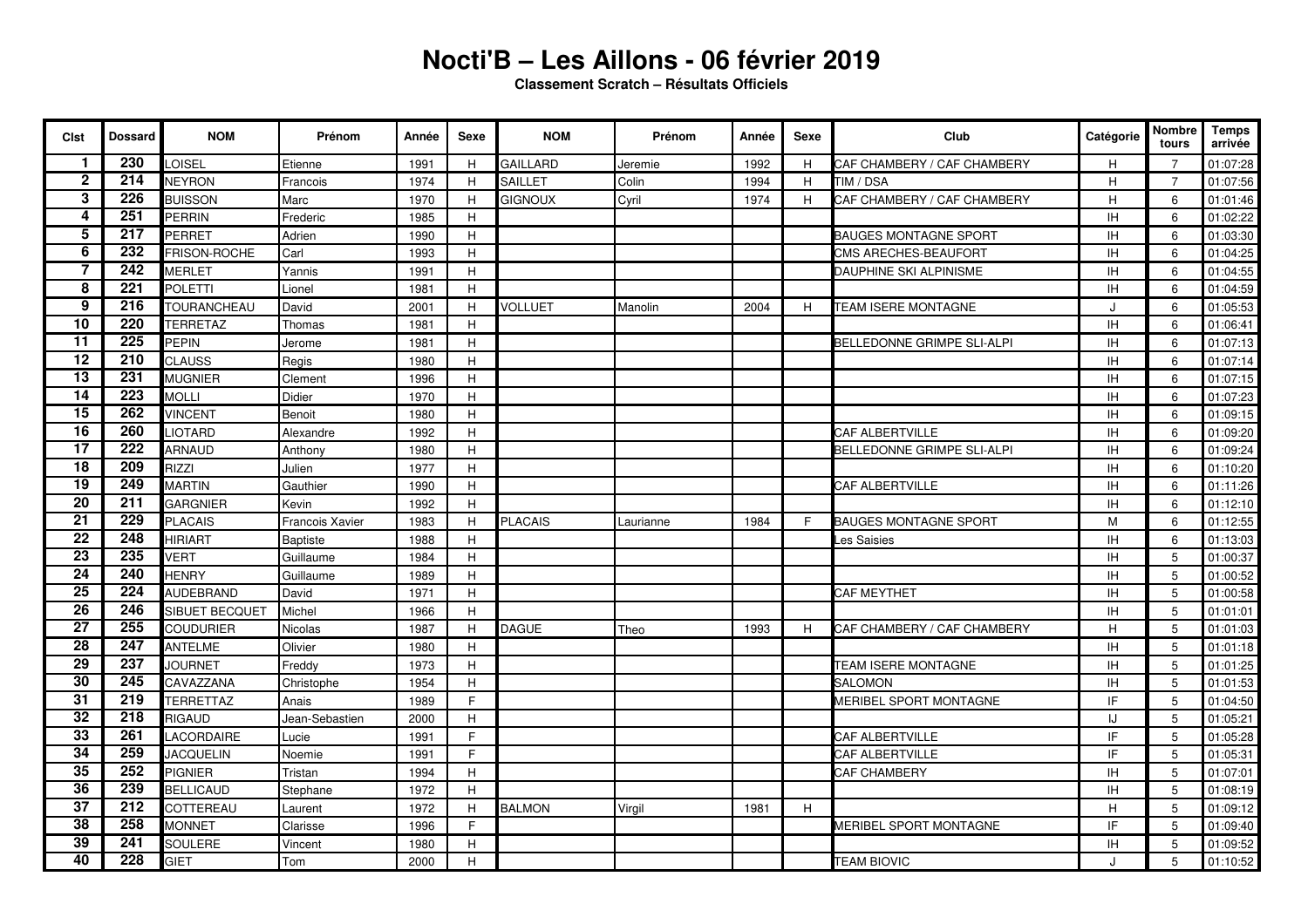## **Nocti'B – Les Aillons - 06 février 2019**

**Classement Scratch – Résultats Officiels**

| <b>Cist</b>     | <b>Dossard</b>   | <b>NOM</b>            | Prénom                 | Année | Sexe        | <b>NOM</b>      | Prénom    | Année | <b>Sexe</b> | Club                                 | Catégorie | Nombre<br>tours | Temps<br>arrivée |
|-----------------|------------------|-----------------------|------------------------|-------|-------------|-----------------|-----------|-------|-------------|--------------------------------------|-----------|-----------------|------------------|
| 1               | 230              | LOISEL                | Etienne                | 1991  | H           | <b>GAILLARD</b> | Jeremie   | 1992  | H           | CAF CHAMBERY / CAF CHAMBERY          | Н         | 7               | 01:07:28         |
| $\mathbf 2$     | 214              | <b>NEYRON</b>         | Francois               | 1974  | H           | SAILLET         | Colin     | 1994  | H           | TIM / DSA                            | H         | $\overline{7}$  | 01:07:56         |
| 3               | $\overline{226}$ | <b>BUISSON</b>        | Marc                   | 1970  | H           | <b>GIGNOUX</b>  | Cyril     | 1974  | H           | CAF CHAMBERY / CAF CHAMBERY          | H         | 6               | 01:01:46         |
| 4               | $\overline{251}$ | PERRIN                | Frederic               | 1985  | H           |                 |           |       |             |                                      | IH        | 6               | 01:02:22         |
| 5               | 217              | PERRET                | Adrien                 | 1990  | H           |                 |           |       |             | <b>BAUGES MONTAGNE SPORT</b>         | IH        | 6               | 01:03:30         |
| $\overline{6}$  | 232              | FRISON-ROCHE          | Carl                   | 1993  | H           |                 |           |       |             | CMS ARECHES-BEAUFORT                 | IH        | 6               | 01:04:25         |
| $\overline{7}$  | 242              | <b>MERLET</b>         | Yannis                 | 1991  | H           |                 |           |       |             | DAUPHINE SKI ALPINISME               | IH        | 6               | 01:04:55         |
| 8               | $\overline{221}$ | POLETTI               | Lionel                 | 1981  | H           |                 |           |       |             |                                      | <b>IH</b> | 6               | 01:04:59         |
| 9               | 216              | <b>TOURANCHEAU</b>    | David                  | 2001  | H           | <b>VOLLUET</b>  | Manolin   | 2004  | H.          | <b>TEAM ISERE MONTAGNE</b>           | $\cdot$   | 6               | 01:05:53         |
| $\overline{10}$ | 220              | <b>TERRETAZ</b>       | Thomas                 | 1981  | H           |                 |           |       |             |                                      | IH        | 6               | 01:06:41         |
| $\overline{11}$ | $\overline{225}$ | <b>PEPIN</b>          | Jerome                 | 1981  | H           |                 |           |       |             | <b>BELLEDONNE GRIMPE SLI-ALPI</b>    | <b>IH</b> | 6               | 01:07:13         |
| $\overline{12}$ | 210              | <b>CLAUSS</b>         | Regis                  | 1980  | H           |                 |           |       |             |                                      | <b>IH</b> | 6               | 01:07:14         |
| $\overline{13}$ | 231              | <b>MUGNIER</b>        | Clement                | 1996  | H           |                 |           |       |             |                                      | IH        | 6               | 01:07:15         |
| $\overline{14}$ | $\overline{223}$ | <b>MOLLI</b>          | Didier                 | 1970  | H           |                 |           |       |             |                                      | IH        | 6               | 01:07:23         |
| $\overline{15}$ | 262              | <b>VINCENT</b>        | Benoit                 | 1980  | H           |                 |           |       |             |                                      | <b>IH</b> | 6               | 01:09:15         |
| $\overline{16}$ | 260              | <b>LIOTARD</b>        | Alexandre              | 1992  | $\mathsf H$ |                 |           |       |             | CAF ALBERTVILLE                      | IH        | 6               | 01:09:20         |
| $\overline{17}$ | 222              | <b>ARNAUD</b>         | Anthony                | 1980  | H           |                 |           |       |             | BELLEDONNE GRIMPE SLI-ALPI           | <b>IH</b> | 6               | 01:09:24         |
| $\overline{18}$ | 209              | <b>RIZZI</b>          | Julien                 | 1977  | H           |                 |           |       |             |                                      | <b>IH</b> | 6               | 01:10:20         |
| $\overline{19}$ | 249              | <b>MARTIN</b>         | Gauthier               | 1990  | H           |                 |           |       |             | CAF ALBERTVILLE                      | IH        | 6               | 01:11:26         |
| $\overline{20}$ | $\overline{211}$ | <b>GARGNIER</b>       | Kevin                  | 1992  | H           |                 |           |       |             |                                      | <b>IH</b> | 6               | 01:12:10         |
| $\overline{21}$ | 229              | <b>PLACAIS</b>        | <b>Francois Xavier</b> | 1983  | H           | <b>PLACAIS</b>  | Laurianne | 1984  | F.          | <b>BAUGES MONTAGNE SPORT</b>         | M         | 6               | 01:12:55         |
| $\overline{22}$ | 248              | <b>HIRIART</b>        | Baptiste               | 1988  | H           |                 |           |       |             | es Saisies                           | IH        | 6               | 01:13:03         |
| $\overline{23}$ | 235              | VERT                  | Guillaume              | 1984  | H           |                 |           |       |             |                                      | <b>IH</b> | 5               | 01:00:37         |
| $\overline{24}$ | 240              | <b>HENRY</b>          | Guillaume              | 1989  | H           |                 |           |       |             |                                      | IH        | 5               | 01:00:52         |
| $\overline{25}$ | 224              | AUDEBRAND             | David                  | 1971  | H           |                 |           |       |             | CAF MEYTHET                          | IH        | 5               | 01:00:58         |
| $\overline{26}$ | 246              | <b>SIBUET BECQUET</b> | Michel                 | 1966  | H           |                 |           |       |             |                                      | <b>IH</b> | 5               | 01:01:01         |
| $\overline{27}$ | 255              | <b>COUDURIER</b>      | Nicolas                | 1987  | H           | <b>DAGUE</b>    | Theo      | 1993  | H           | CAF CHAMBERY / CAF CHAMBERY          | H         | 5               | 01:01:03         |
| $\overline{28}$ | 247              | <b>ANTELME</b>        | Olivier                | 1980  | H           |                 |           |       |             |                                      | IH        | 5               | 01:01:18         |
| $\overline{29}$ | 237              | <b>JOURNET</b>        | Freddy                 | 1973  | H           |                 |           |       |             | TEAM ISERE MONTAGNE                  | <b>IH</b> | 5               | 01:01:25         |
| $\overline{30}$ | 245              | CAVAZZANA             | Christophe             | 1954  | H           |                 |           |       |             | <b>SALOMON</b>                       | <b>IH</b> | 5               | 01:01:53         |
| $\overline{31}$ | 219              | <b>TERRETTAZ</b>      | Anais                  | 1989  | E           |                 |           |       |             | <b>MERIBEL SPORT MONTAGNE</b>        | IF        | 5               | 01:04:50         |
| 32              | 218              | <b>RIGAUD</b>         | Jean-Sebastien         | 2000  | H           |                 |           |       |             |                                      | IJ        | 5               | 01:05:21         |
| 33              | 261              | LACORDAIRE            | Lucie                  | 1991  | F           |                 |           |       |             | CAF ALBERTVILLE                      | IF        | 5               | 01:05:28         |
| 34              | 259              | JACQUELIN             | Noemie                 | 1991  | F           |                 |           |       |             | CAF ALBERTVILLE                      | IF        | 5               | 01:05:31         |
| $\overline{35}$ | 252              | PIGNIER               | Tristan                | 1994  | H           |                 |           |       |             | CAF CHAMBERY                         | IH        | 5               | 01:07:01         |
| $\overline{36}$ | 239              | <b>BELLICAUD</b>      | Stephane               | 1972  | H           |                 |           |       |             |                                      | <b>IH</b> | 5               | 01:08:19         |
| $\overline{37}$ | 212              | COTTEREAU             | Laurent                | 1972  | H           | <b>BALMON</b>   | Virgil    | 1981  | H           |                                      | H         | 5               | 01:09:12         |
| 38              | 258              | <b>MONNET</b>         | Clarisse               | 1996  | E           |                 |           |       |             | <b><i>IERIBEL SPORT MONTAGNE</i></b> | IF        | 5               | 01:09:40         |
| 39              | 241              | SOULERE               | Vincent                | 1980  | H           |                 |           |       |             |                                      | <b>IH</b> | 5               | 01:09:52         |
| 40              | 228              | GIET                  | Tom                    | 2000  | H           |                 |           |       |             | <b>TEAM BIOVIC</b>                   |           | 5               | 01:10:52         |